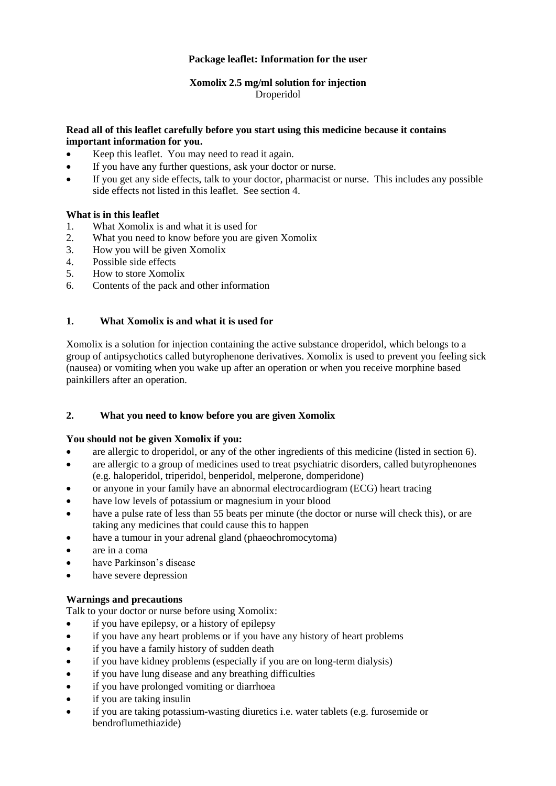# **Package leaflet: Information for the user**

# **Xomolix 2.5 mg/ml solution for injection** Droperidol

# **Read all of this leaflet carefully before you start using this medicine because it contains important information for you.**

- Keep this leaflet. You may need to read it again.
- If you have any further questions, ask your doctor or nurse.
- If you get any side effects, talk to your doctor, pharmacist or nurse. This includes any possible side effects not listed in this leaflet. See section 4.

# **What is in this leaflet**

- 1. What Xomolix is and what it is used for
- 2. What you need to know before you are given Xomolix
- 3. How you will be given Xomolix
- 4. Possible side effects
- 5. How to store Xomolix
- 6. Contents of the pack and other information

# **1. What Xomolix is and what it is used for**

Xomolix is a solution for injection containing the active substance droperidol, which belongs to a group of antipsychotics called butyrophenone derivatives. Xomolix is used to prevent you feeling sick (nausea) or vomiting when you wake up after an operation or when you receive morphine based painkillers after an operation.

# **2. What you need to know before you are given Xomolix**

#### **You should not be given Xomolix if you:**

- are allergic to droperidol, or any of the other ingredients of this medicine (listed in section 6).
- are allergic to a group of medicines used to treat psychiatric disorders, called butyrophenones (e.g. haloperidol, triperidol, benperidol, melperone, domperidone)
- or anyone in your family have an abnormal electrocardiogram (ECG) heart tracing
- have low levels of potassium or magnesium in your blood
- have a pulse rate of less than 55 beats per minute (the doctor or nurse will check this), or are taking any medicines that could cause this to happen
- have a tumour in your adrenal gland (phaeochromocytoma)
- are in a coma
- have Parkinson's disease
- have severe depression

# **Warnings and precautions**

Talk to your doctor or nurse before using Xomolix:

- if you have epilepsy, or a history of epilepsy
- if you have any heart problems or if you have any history of heart problems
- if you have a family history of sudden death
- if you have kidney problems (especially if you are on long-term dialysis)
- if you have lung disease and any breathing difficulties
- if you have prolonged vomiting or diarrhoea
- if you are taking insulin
- if you are taking potassium-wasting diuretics i.e. water tablets (e.g. furosemide or bendroflumethiazide)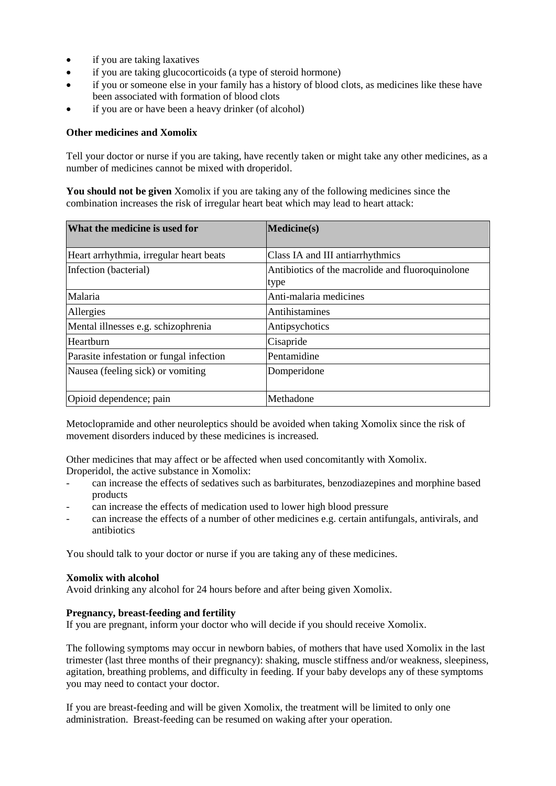- if you are taking laxatives
- if you are taking glucocorticoids (a type of steroid hormone)
- if you or someone else in your family has a history of blood clots, as medicines like these have been associated with formation of blood clots
- if you are or have been a heavy drinker (of alcohol)

#### **Other medicines and Xomolix**

Tell your doctor or nurse if you are taking, have recently taken or might take any other medicines, as a number of medicines cannot be mixed with droperidol.

**You should not be given** Xomolix if you are taking any of the following medicines since the combination increases the risk of irregular heart beat which may lead to heart attack:

| What the medicine is used for            | Medicine(s)                                              |  |
|------------------------------------------|----------------------------------------------------------|--|
| Heart arrhythmia, irregular heart beats  | Class IA and III antiarrhythmics                         |  |
| Infection (bacterial)                    | Antibiotics of the macrolide and fluoroquinolone<br>type |  |
| Malaria                                  | Anti-malaria medicines                                   |  |
| Allergies                                | Antihistamines                                           |  |
| Mental illnesses e.g. schizophrenia      | Antipsychotics                                           |  |
| Heartburn                                | Cisapride                                                |  |
| Parasite infestation or fungal infection | Pentamidine                                              |  |
| Nausea (feeling sick) or vomiting        | Domperidone                                              |  |
| Opioid dependence; pain                  | Methadone                                                |  |

Metoclopramide and other neuroleptics should be avoided when taking Xomolix since the risk of movement disorders induced by these medicines is increased.

Other medicines that may affect or be affected when used concomitantly with Xomolix. Droperidol, the active substance in Xomolix:

- can increase the effects of sedatives such as barbiturates, benzodiazepines and morphine based products
- can increase the effects of medication used to lower high blood pressure
- can increase the effects of a number of other medicines e.g. certain antifungals, antivirals, and antibiotics

You should talk to your doctor or nurse if you are taking any of these medicines.

#### **Xomolix with alcohol**

Avoid drinking any alcohol for 24 hours before and after being given Xomolix.

#### **Pregnancy, breast-feeding and fertility**

If you are pregnant, inform your doctor who will decide if you should receive Xomolix.

The following symptoms may occur in newborn babies, of mothers that have used Xomolix in the last trimester (last three months of their pregnancy): shaking, muscle stiffness and/or weakness, sleepiness, agitation, breathing problems, and difficulty in feeding. If your baby develops any of these symptoms you may need to contact your doctor.

If you are breast-feeding and will be given Xomolix, the treatment will be limited to only one administration. Breast-feeding can be resumed on waking after your operation.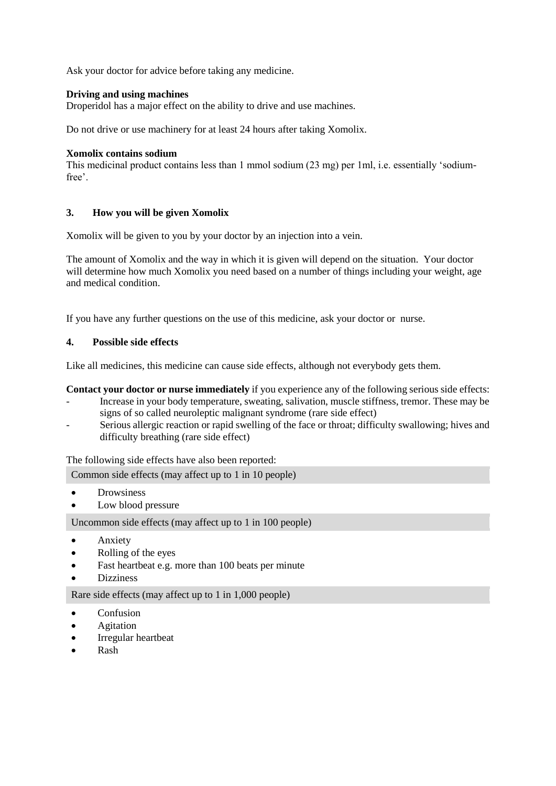Ask your doctor for advice before taking any medicine.

## **Driving and using machines**

Droperidol has a major effect on the ability to drive and use machines.

Do not drive or use machinery for at least 24 hours after taking Xomolix.

#### **Xomolix contains sodium**

This medicinal product contains less than 1 mmol sodium (23 mg) per 1ml, i.e. essentially 'sodiumfree'.

#### **3. How you will be given Xomolix**

Xomolix will be given to you by your doctor by an injection into a vein.

The amount of Xomolix and the way in which it is given will depend on the situation. Your doctor will determine how much Xomolix you need based on a number of things including your weight, age and medical condition.

If you have any further questions on the use of this medicine, ask your doctor or nurse.

# **4. Possible side effects**

Like all medicines, this medicine can cause side effects, although not everybody gets them.

## **Contact your doctor or nurse immediately** if you experience any of the following serious side effects:

- Increase in your body temperature, sweating, salivation, muscle stiffness, tremor. These may be signs of so called neuroleptic malignant syndrome (rare side effect)
- Serious allergic reaction or rapid swelling of the face or throat; difficulty swallowing; hives and difficulty breathing (rare side effect)

The following side effects have also been reported:

Common side effects (may affect up to 1 in 10 people)

- Drowsiness
- Low blood pressure

Uncommon side effects (may affect up to 1 in 100 people)

- Anxiety
- Rolling of the eyes
- Fast heartbeat e.g. more than 100 beats per minute
- Dizziness

Rare side effects (may affect up to 1 in 1,000 people)

- Confusion
- Agitation
- Irregular heartbeat
- Rash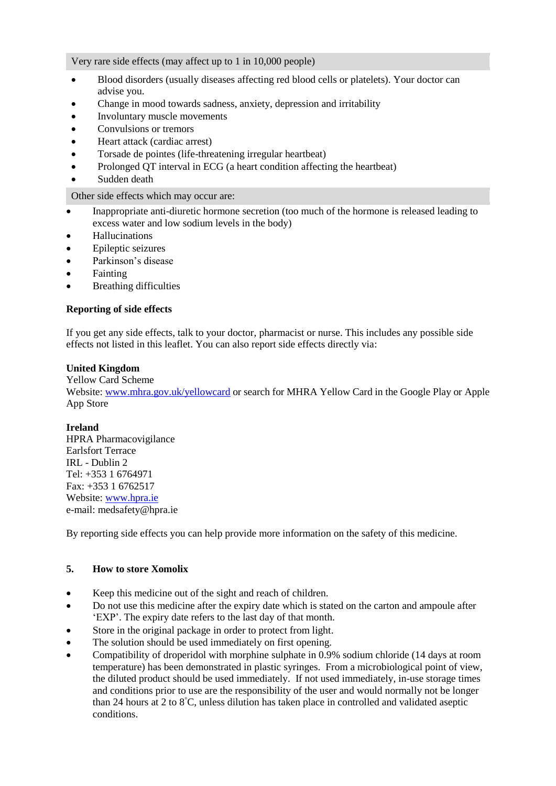Very rare side effects (may affect up to 1 in 10,000 people)

- Blood disorders (usually diseases affecting red blood cells or platelets). Your doctor can advise you.
- Change in mood towards sadness, anxiety, depression and irritability
- Involuntary muscle movements
- Convulsions or tremors
- Heart attack (cardiac arrest)
- Torsade de pointes (life-threatening irregular heartbeat)
- Prolonged QT interval in ECG (a heart condition affecting the heartbeat)
- Sudden death

Other side effects which may occur are:

- Inappropriate anti-diuretic hormone secretion (too much of the hormone is released leading to excess water and low sodium levels in the body)
- Hallucinations
- Epileptic seizures
- Parkinson's disease
- **•** Fainting
- Breathing difficulties

#### **Reporting of side effects**

If you get any side effects, talk to your doctor, pharmacist or nurse. This includes any possible side effects not listed in this leaflet. You can also report side effects directly via:

# **United Kingdom**

#### Yellow Card Scheme

Website[: www.mhra.gov.uk/yellowcard](http://www.mhra.gov.uk/yellowcard) or search for MHRA Yellow Card in the Google Play or Apple App Store

#### **Ireland**

HPRA Pharmacovigilance Earlsfort Terrace IRL - Dublin 2 Tel: +353 1 6764971 Fax: +353 1 6762517 Website[: www.hpra.ie](http://www.hpra.ie/) e-mail: medsafety@hpra.ie

By reporting side effects you can help provide more information on the safety of this medicine.

#### **5. How to store Xomolix**

- Keep this medicine out of the sight and reach of children.
- Do not use this medicine after the expiry date which is stated on the carton and ampoule after 'EXP'. The expiry date refers to the last day of that month.
- Store in the original package in order to protect from light.
- The solution should be used immediately on first opening.
- Compatibility of droperidol with morphine sulphate in 0.9% sodium chloride (14 days at room temperature) has been demonstrated in plastic syringes. From a microbiological point of view, the diluted product should be used immediately. If not used immediately, in-use storage times and conditions prior to use are the responsibility of the user and would normally not be longer than 24 hours at 2 to 8°C, unless dilution has taken place in controlled and validated aseptic conditions.